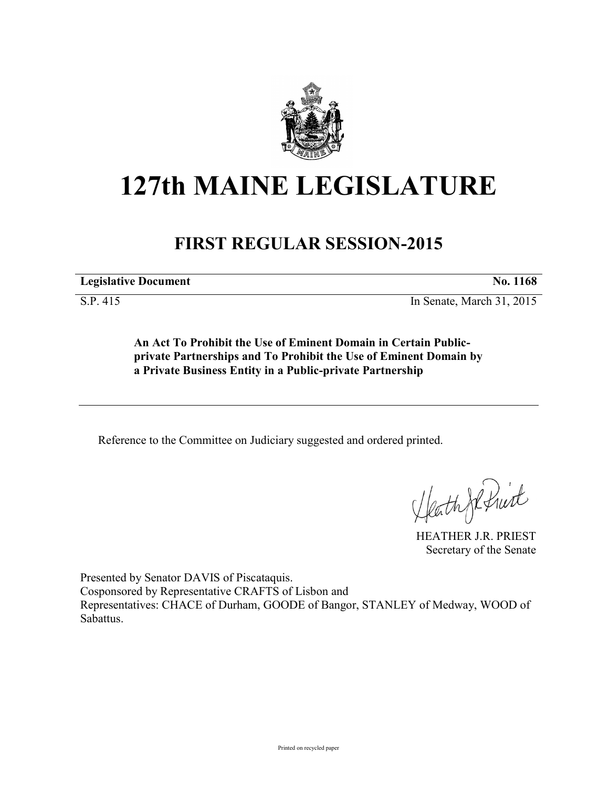

## **127th MAINE LEGISLATURE**

## **FIRST REGULAR SESSION-2015**

**Legislative Document No. 1168** 

S.P. 415 In Senate, March 31, 2015

**An Act To Prohibit the Use of Eminent Domain in Certain Publicprivate Partnerships and To Prohibit the Use of Eminent Domain by a Private Business Entity in a Public-private Partnership**

Reference to the Committee on Judiciary suggested and ordered printed.

HEATHER J.R. PRIEST

Secretary of the Senate

Presented by Senator DAVIS of Piscataquis. Cosponsored by Representative CRAFTS of Lisbon and Representatives: CHACE of Durham, GOODE of Bangor, STANLEY of Medway, WOOD of Sabattus.